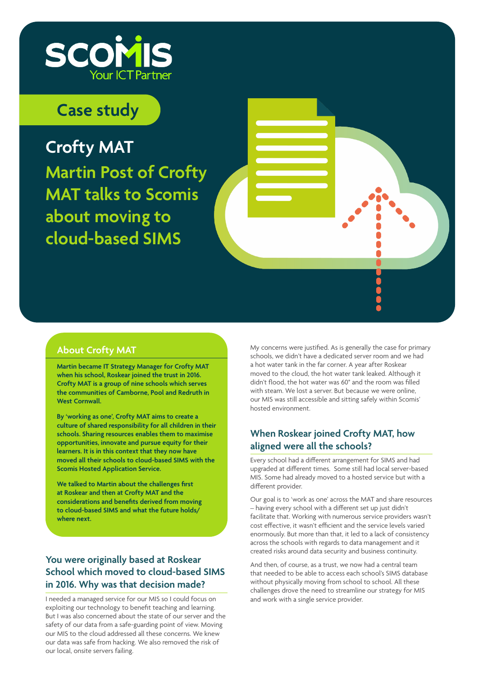

# **Case study**

**Crofty MAT Martin Post of Crofty MAT talks to Scomis about moving to cloud-based SIMS** 

#### **About Crofty MAT**

**Martin became IT Strategy Manager for Crofty MAT when his school, Roskear joined the trust in 2016. Crofty MAT is a group of nine schools which serves the communities of Camborne, Pool and Redruth in West Cornwall.** 

**By 'working as one', Crofty MAT aims to create a culture of shared responsibility for all children in their schools. Sharing resources enables them to maximise opportunities, innovate and pursue equity for their learners. It is in this context that they now have moved all their schools to cloud-based SIMS with the Scomis Hosted Application Service.** 

**We talked to Martin about the challenges first at Roskear and then at Crofty MAT and the considerations and benefits derived from moving to cloud-based SIMS and what the future holds/ where next.**

## **You were originally based at Roskear School which moved to cloud-based SIMS in 2016. Why was that decision made?**

I needed a managed service for our MIS so I could focus on exploiting our technology to benefit teaching and learning. But I was also concerned about the state of our server and the safety of our data from a safe-guarding point of view. Moving our MIS to the cloud addressed all these concerns. We knew our data was safe from hacking. We also removed the risk of our local, onsite servers failing.

My concerns were justified. As is generally the case for primary schools, we didn't have a dedicated server room and we had a hot water tank in the far corner. A year after Roskear moved to the cloud, the hot water tank leaked. Although it didn't flood, the hot water was 60° and the room was filled with steam. We lost a server. But because we were online, our MIS was still accessible and sitting safely within Scomis' hosted environment.

## **When Roskear joined Crofty MAT, how aligned were all the schools?**

Every school had a different arrangement for SIMS and had upgraded at different times. Some still had local server-based MIS. Some had already moved to a hosted service but with a different provider.

Our goal is to 'work as one' across the MAT and share resources – having every school with a different set up just didn't facilitate that. Working with numerous service providers wasn't cost effective, it wasn't efficient and the service levels varied enormously. But more than that, it led to a lack of consistency across the schools with regards to data management and it created risks around data security and business continuity.

And then, of course, as a trust, we now had a central team that needed to be able to access each school's SIMS database without physically moving from school to school. All these challenges drove the need to streamline our strategy for MIS and work with a single service provider.